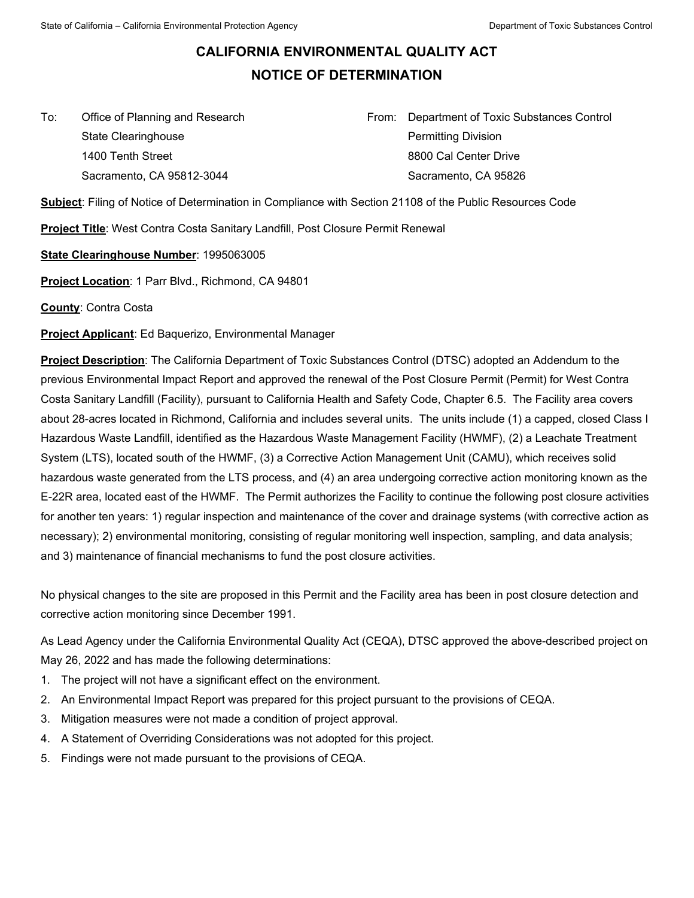## **CALIFORNIA ENVIRONMENTAL QUALITY ACT NOTICE OF DETERMINATION**

 $To:$ State Clearinghouse **Permitting Division** 1400 Tenth Street **8800 Cal Center Drive** 8800 Cal Center Drive

Office of Planning and Research **From: Department of Toxic Substances Control** Sacramento, CA 95812-3044 Sacramento, CA 95826

**Subject**: Filing of Notice of Determination in Compliance with Section 21108 of the Public Resources Code

**Project Title**: West Contra Costa Sanitary Landfill, Post Closure Permit Renewal

**State Clearinghouse Number**: 1995063005

**Project Location**: 1 Parr Blvd., Richmond, CA 94801

**County**: Contra Costa

**Project Applicant**: Ed Baquerizo, Environmental Manager

**Project Description**: The California Department of Toxic Substances Control (DTSC) adopted an Addendum to the previous Environmental Impact Report and approved the renewal of the Post Closure Permit (Permit) for West Contra Costa Sanitary Landfill (Facility), pursuant to California Health and Safety Code, Chapter 6.5. The Facility area covers about 28-acres located in Richmond, California and includes several units. The units include (1) a capped, closed Class I Hazardous Waste Landfill, identified as the Hazardous Waste Management Facility (HWMF), (2) a Leachate Treatment System (LTS), located south of the HWMF, (3) a Corrective Action Management Unit (CAMU), which receives solid hazardous waste generated from the LTS process, and (4) an area undergoing corrective action monitoring known as the E-22R area, located east of the HWMF. The Permit authorizes the Facility to continue the following post closure activities for another ten years: 1) regular inspection and maintenance of the cover and drainage systems (with corrective action as necessary); 2) environmental monitoring, consisting of regular monitoring well inspection, sampling, and data analysis; and 3) maintenance of financial mechanisms to fund the post closure activities.

No physical changes to the site are proposed in this Permit and the Facility area has been in post closure detection and corrective action monitoring since December 1991.

 May 26, 2022 and has made the following determinations: As Lead Agency under the California Environmental Quality Act (CEQA), DTSC approved the above-described project on

- 1. The project will not have a significant effect on the environment.
- 2. An Environmental Impact Report was prepared for this project pursuant to the provisions of CEQA.
- 3. Mitigation measures were not made a condition of project approval.
- 4. A Statement of Overriding Considerations was not adopted for this project.
- 5. Findings were not made pursuant to the provisions of CEQA.